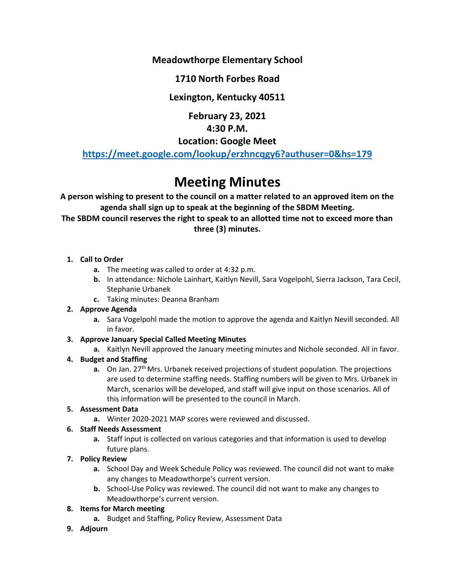**Meadowthorpe Elementary School**

**1710 North Forbes Road**

# **Lexington, Kentucky 40511**

**February 23, 2021**

# **4:30 P.M.**

# **Location: Google Meet**

**<https://meet.google.com/lookup/erzhncqgy6?authuser=0&hs=179>**

# **Meeting Minutes**

**A person wishing to present to the council on a matter related to an approved item on the agenda shall sign up to speak at the beginning of the SBDM Meeting.**

**The SBDM council reserves the right to speak to an allotted time not to exceed more than three (3) minutes.**

#### **1. Call to Order**

- **a.** The meeting was called to order at 4:32 p.m.
- **b.** In attendance: Nichole Lainhart, Kaitlyn Nevill, Sara Vogelpohl, Sierra Jackson, Tara Cecil, Stephanie Urbanek
- **c.** Taking minutes: Deanna Branham

# **2. Approve Agenda**

**a.** Sara Vogelpohl made the motion to approve the agenda and Kaitlyn Nevill seconded. All in favor.

#### **3. Approve January Special Called Meeting Minutes**

**a.** Kaitlyn Nevill approved the January meeting minutes and Nichole seconded. All in favor.

# **4. Budget and Staffing**

**a.** On Jan. 27<sup>th</sup> Mrs. Urbanek received projections of student population. The projections are used to determine staffing needs. Staffing numbers will be given to Mrs. Urbanek in March, scenarios will be developed, and staff will give input on those scenarios. All of this information will be presented to the council in March.

# **5. Assessment Data**

**a.** Winter 2020-2021 MAP scores were reviewed and discussed.

# **6. Staff Needs Assessment**

**a.** Staff input is collected on various categories and that information is used to develop future plans.

# **7. Policy Review**

- **a.** School Day and Week Schedule Policy was reviewed. The council did not want to make any changes to Meadowthorpe's current version.
- **b.** School-Use Policy was reviewed. The council did not want to make any changes to Meadowthorpe's current version.

# **8. Items for March meeting**

- **a.** Budget and Staffing, Policy Review, Assessment Data
- **9. Adjourn**